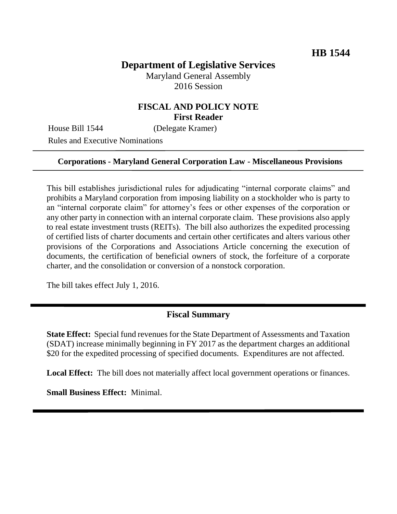# **Department of Legislative Services**

Maryland General Assembly 2016 Session

## **FISCAL AND POLICY NOTE First Reader**

House Bill 1544 (Delegate Kramer)

Rules and Executive Nominations

#### **Corporations - Maryland General Corporation Law - Miscellaneous Provisions**

This bill establishes jurisdictional rules for adjudicating "internal corporate claims" and prohibits a Maryland corporation from imposing liability on a stockholder who is party to an "internal corporate claim" for attorney's fees or other expenses of the corporation or any other party in connection with an internal corporate claim. These provisions also apply to real estate investment trusts (REITs). The bill also authorizes the expedited processing of certified lists of charter documents and certain other certificates and alters various other provisions of the Corporations and Associations Article concerning the execution of documents, the certification of beneficial owners of stock, the forfeiture of a corporate charter, and the consolidation or conversion of a nonstock corporation.

The bill takes effect July 1, 2016.

#### **Fiscal Summary**

**State Effect:** Special fund revenues for the State Department of Assessments and Taxation (SDAT) increase minimally beginning in FY 2017 as the department charges an additional \$20 for the expedited processing of specified documents. Expenditures are not affected.

**Local Effect:** The bill does not materially affect local government operations or finances.

**Small Business Effect:** Minimal.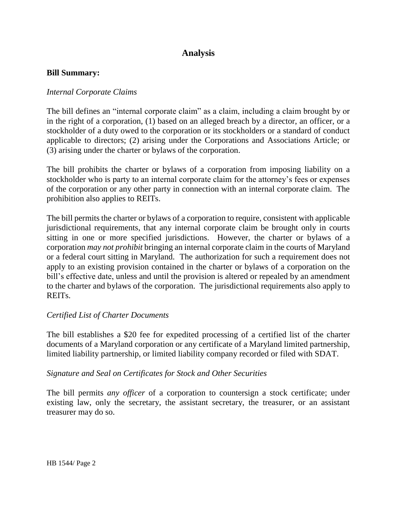# **Analysis**

#### **Bill Summary:**

### *Internal Corporate Claims*

The bill defines an "internal corporate claim" as a claim, including a claim brought by or in the right of a corporation, (1) based on an alleged breach by a director, an officer, or a stockholder of a duty owed to the corporation or its stockholders or a standard of conduct applicable to directors; (2) arising under the Corporations and Associations Article; or (3) arising under the charter or bylaws of the corporation.

The bill prohibits the charter or bylaws of a corporation from imposing liability on a stockholder who is party to an internal corporate claim for the attorney's fees or expenses of the corporation or any other party in connection with an internal corporate claim. The prohibition also applies to REITs.

The bill permits the charter or bylaws of a corporation to require, consistent with applicable jurisdictional requirements, that any internal corporate claim be brought only in courts sitting in one or more specified jurisdictions. However, the charter or bylaws of a corporation *may not prohibit* bringing an internal corporate claim in the courts of Maryland or a federal court sitting in Maryland. The authorization for such a requirement does not apply to an existing provision contained in the charter or bylaws of a corporation on the bill's effective date, unless and until the provision is altered or repealed by an amendment to the charter and bylaws of the corporation. The jurisdictional requirements also apply to REITs.

#### *Certified List of Charter Documents*

The bill establishes a \$20 fee for expedited processing of a certified list of the charter documents of a Maryland corporation or any certificate of a Maryland limited partnership, limited liability partnership, or limited liability company recorded or filed with SDAT.

## *Signature and Seal on Certificates for Stock and Other Securities*

The bill permits *any officer* of a corporation to countersign a stock certificate; under existing law, only the secretary, the assistant secretary, the treasurer, or an assistant treasurer may do so.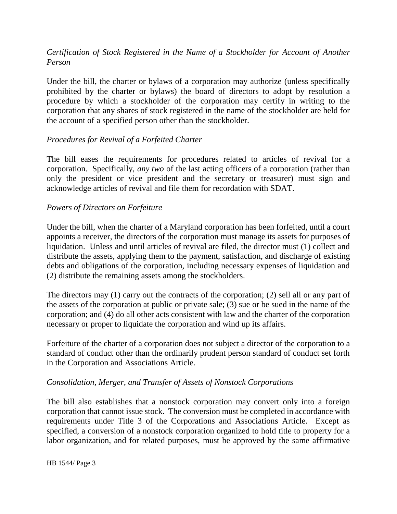## *Certification of Stock Registered in the Name of a Stockholder for Account of Another Person*

Under the bill, the charter or bylaws of a corporation may authorize (unless specifically prohibited by the charter or bylaws) the board of directors to adopt by resolution a procedure by which a stockholder of the corporation may certify in writing to the corporation that any shares of stock registered in the name of the stockholder are held for the account of a specified person other than the stockholder.

## *Procedures for Revival of a Forfeited Charter*

The bill eases the requirements for procedures related to articles of revival for a corporation. Specifically, *any two* of the last acting officers of a corporation (rather than only the president or vice president and the secretary or treasurer) must sign and acknowledge articles of revival and file them for recordation with SDAT.

### *Powers of Directors on Forfeiture*

Under the bill, when the charter of a Maryland corporation has been forfeited, until a court appoints a receiver, the directors of the corporation must manage its assets for purposes of liquidation. Unless and until articles of revival are filed, the director must (1) collect and distribute the assets, applying them to the payment, satisfaction, and discharge of existing debts and obligations of the corporation, including necessary expenses of liquidation and (2) distribute the remaining assets among the stockholders.

The directors may (1) carry out the contracts of the corporation; (2) sell all or any part of the assets of the corporation at public or private sale; (3) sue or be sued in the name of the corporation; and (4) do all other acts consistent with law and the charter of the corporation necessary or proper to liquidate the corporation and wind up its affairs.

Forfeiture of the charter of a corporation does not subject a director of the corporation to a standard of conduct other than the ordinarily prudent person standard of conduct set forth in the Corporation and Associations Article.

## *Consolidation, Merger, and Transfer of Assets of Nonstock Corporations*

The bill also establishes that a nonstock corporation may convert only into a foreign corporation that cannot issue stock. The conversion must be completed in accordance with requirements under Title 3 of the Corporations and Associations Article. Except as specified, a conversion of a nonstock corporation organized to hold title to property for a labor organization, and for related purposes, must be approved by the same affirmative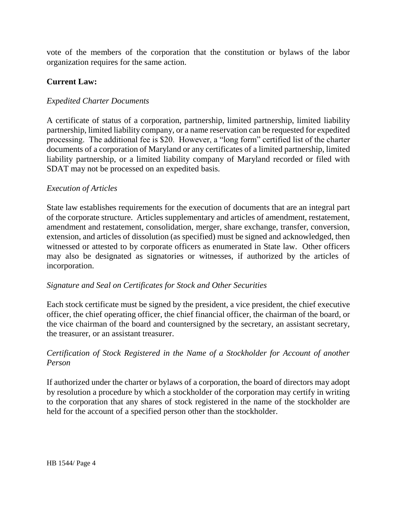vote of the members of the corporation that the constitution or bylaws of the labor organization requires for the same action.

## **Current Law:**

### *Expedited Charter Documents*

A certificate of status of a corporation, partnership, limited partnership, limited liability partnership, limited liability company, or a name reservation can be requested for expedited processing. The additional fee is \$20. However, a "long form" certified list of the charter documents of a corporation of Maryland or any certificates of a limited partnership, limited liability partnership, or a limited liability company of Maryland recorded or filed with SDAT may not be processed on an expedited basis.

### *Execution of Articles*

State law establishes requirements for the execution of documents that are an integral part of the corporate structure. Articles supplementary and articles of amendment, restatement, amendment and restatement, consolidation, merger, share exchange, transfer, conversion, extension, and articles of dissolution (as specified) must be signed and acknowledged, then witnessed or attested to by corporate officers as enumerated in State law. Other officers may also be designated as signatories or witnesses, if authorized by the articles of incorporation.

#### *Signature and Seal on Certificates for Stock and Other Securities*

Each stock certificate must be signed by the president, a vice president, the chief executive officer, the chief operating officer, the chief financial officer, the chairman of the board, or the vice chairman of the board and countersigned by the secretary, an assistant secretary, the treasurer, or an assistant treasurer.

## *Certification of Stock Registered in the Name of a Stockholder for Account of another Person*

If authorized under the charter or bylaws of a corporation, the board of directors may adopt by resolution a procedure by which a stockholder of the corporation may certify in writing to the corporation that any shares of stock registered in the name of the stockholder are held for the account of a specified person other than the stockholder.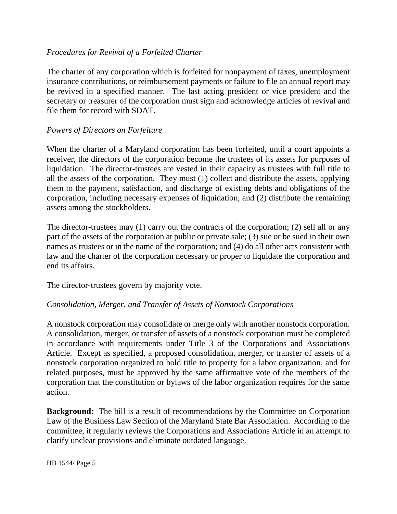## *Procedures for Revival of a Forfeited Charter*

The charter of any corporation which is forfeited for nonpayment of taxes, unemployment insurance contributions, or reimbursement payments or failure to file an annual report may be revived in a specified manner. The last acting president or vice president and the secretary or treasurer of the corporation must sign and acknowledge articles of revival and file them for record with SDAT.

### *Powers of Directors on Forfeiture*

When the charter of a Maryland corporation has been forfeited, until a court appoints a receiver, the directors of the corporation become the trustees of its assets for purposes of liquidation. The director-trustees are vested in their capacity as trustees with full title to all the assets of the corporation. They must (1) collect and distribute the assets, applying them to the payment, satisfaction, and discharge of existing debts and obligations of the corporation, including necessary expenses of liquidation, and (2) distribute the remaining assets among the stockholders.

The director-trustees may (1) carry out the contracts of the corporation; (2) sell all or any part of the assets of the corporation at public or private sale; (3) sue or be sued in their own names as trustees or in the name of the corporation; and (4) do all other acts consistent with law and the charter of the corporation necessary or proper to liquidate the corporation and end its affairs.

The director-trustees govern by majority vote.

## *Consolidation, Merger, and Transfer of Assets of Nonstock Corporations*

A nonstock corporation may consolidate or merge only with another nonstock corporation. A consolidation, merger, or transfer of assets of a nonstock corporation must be completed in accordance with requirements under Title 3 of the Corporations and Associations Article. Except as specified, a proposed consolidation, merger, or transfer of assets of a nonstock corporation organized to hold title to property for a labor organization, and for related purposes, must be approved by the same affirmative vote of the members of the corporation that the constitution or bylaws of the labor organization requires for the same action.

**Background:** The bill is a result of recommendations by the Committee on Corporation Law of the Business Law Section of the Maryland State Bar Association. According to the committee, it regularly reviews the Corporations and Associations Article in an attempt to clarify unclear provisions and eliminate outdated language.